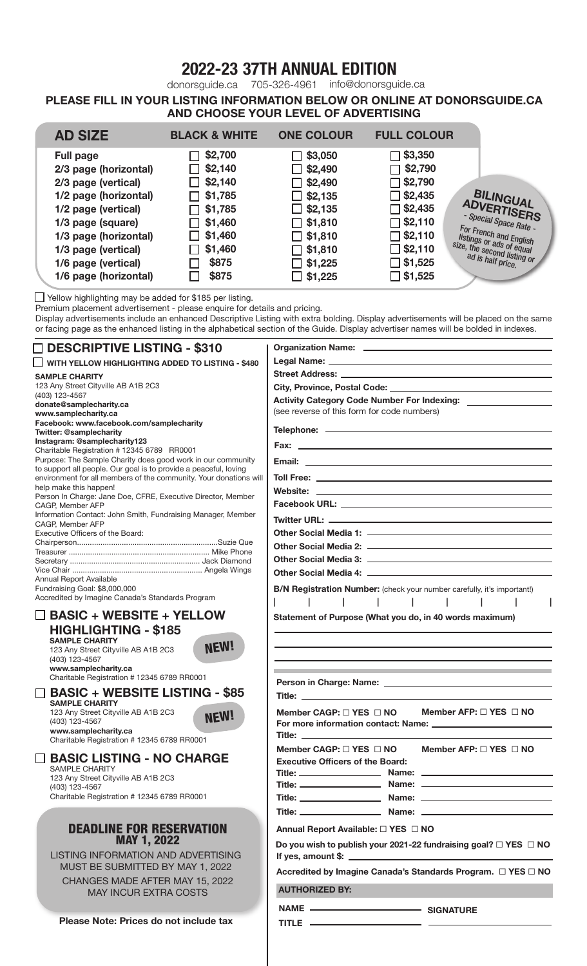## 2022-23 37TH ANNUAL EDITION

donorsguide.ca 705-326-4961 info@donorsguide.ca

PLEASE FILL IN YOUR LISTING INFORMATION BELOW OR ONLINE AT DONORSGUIDE.CA AND CHOOSE YOUR LEVEL OF ADVERTISING

| <b>AD SIZE</b>        | <b>BLACK &amp; WHITE</b> | <b>ONE COLOUR</b> | <b>FULL COLOUR</b> |                                                         |
|-----------------------|--------------------------|-------------------|--------------------|---------------------------------------------------------|
| <b>Full page</b>      | \$2,700                  | \$3,050           | \$3,350            |                                                         |
| 2/3 page (horizontal) | \$2,140                  | $\Box$ \$2,490    | \$2,790            |                                                         |
| 2/3 page (vertical)   | \$2,140<br>$\mathsf{L}$  | $\Box$ \$2,490    | $\Box$ \$2,790     |                                                         |
| 1/2 page (horizontal) | \$1,785                  | $\Box$ \$2,135    | $\Box$ \$2,435     | BILINGUAL                                               |
| 1/2 page (vertical)   | \$1,785                  | $\Box$ \$2,135    | $\Box$ \$2,435     | ADVERTISERS                                             |
| 1/3 page (square)     | \$1,460                  | $\Box$ \$1,810    | $\Box$ \$2,110     | - Special Space Rate -                                  |
| 1/3 page (horizontal) | \$1,460                  | $\Box$ \$1,810    | $\Box$ \$2,110     | For French and English                                  |
| 1/3 page (vertical)   | \$1,460                  | $\Box$ \$1,810    | $\Box$ \$2,110     | listings or ads of equal<br>size, the second listing or |
| 1/6 page (vertical)   | \$875                    | $\Box$ \$1,225    | $\Box$ \$1,525     | ad is half price.                                       |
| 1/6 page (horizontal) | \$875                    | $\Box$ \$1,225    | $\Box$ \$1,525     |                                                         |

**△ Yellow highlighting may be added for \$185 per listing.** 

Premium placement advertisement - please enquire for details and pricing.

Display advertisements include an enhanced Descriptive Listing with extra bolding. Display advertisements will be placed on the same or facing page as the enhanced listing in the alphabetical section of the Guide. Display advertiser names will be bolded in indexes.

| $\square$ DESCRIPTIVE LISTING - \$310                                                                                                                                                               |                                                                                                                                                                                                                                      |  |  |
|-----------------------------------------------------------------------------------------------------------------------------------------------------------------------------------------------------|--------------------------------------------------------------------------------------------------------------------------------------------------------------------------------------------------------------------------------------|--|--|
| I I WITH YELLOW HIGHLIGHTING ADDED TO LISTING - \$480                                                                                                                                               |                                                                                                                                                                                                                                      |  |  |
| <b>SAMPLE CHARITY</b>                                                                                                                                                                               |                                                                                                                                                                                                                                      |  |  |
| 123 Any Street Cityville AB A1B 2C3                                                                                                                                                                 |                                                                                                                                                                                                                                      |  |  |
| (403) 123-4567                                                                                                                                                                                      | <b>Activity Category Code Number For Indexing:</b>                                                                                                                                                                                   |  |  |
| donate@samplecharity.ca                                                                                                                                                                             | (see reverse of this form for code numbers)                                                                                                                                                                                          |  |  |
| www.samplecharity.ca<br>Facebook: www.facebook.com/samplecharity                                                                                                                                    |                                                                                                                                                                                                                                      |  |  |
| <b>Twitter: @samplecharity</b>                                                                                                                                                                      |                                                                                                                                                                                                                                      |  |  |
| Instagram: @samplecharity123                                                                                                                                                                        |                                                                                                                                                                                                                                      |  |  |
| Charitable Registration # 12345 6789 RR0001<br>Purpose: The Sample Charity does good work in our community                                                                                          |                                                                                                                                                                                                                                      |  |  |
| to support all people. Our goal is to provide a peaceful, loving                                                                                                                                    |                                                                                                                                                                                                                                      |  |  |
| environment for all members of the community. Your donations will                                                                                                                                   |                                                                                                                                                                                                                                      |  |  |
| help make this happen!<br>Person In Charge: Jane Doe, CFRE, Executive Director, Member                                                                                                              |                                                                                                                                                                                                                                      |  |  |
| CAGP, Member AFP                                                                                                                                                                                    |                                                                                                                                                                                                                                      |  |  |
| Information Contact: John Smith, Fundraising Manager, Member<br>CAGP, Member AFP                                                                                                                    |                                                                                                                                                                                                                                      |  |  |
| Executive Officers of the Board:                                                                                                                                                                    |                                                                                                                                                                                                                                      |  |  |
|                                                                                                                                                                                                     |                                                                                                                                                                                                                                      |  |  |
|                                                                                                                                                                                                     |                                                                                                                                                                                                                                      |  |  |
|                                                                                                                                                                                                     |                                                                                                                                                                                                                                      |  |  |
| Annual Report Available<br>Fundraising Goal: \$8,000,000                                                                                                                                            |                                                                                                                                                                                                                                      |  |  |
| Accredited by Imagine Canada's Standards Program                                                                                                                                                    | B/N Registration Number: (check your number carefully, it's important!)                                                                                                                                                              |  |  |
| $\square$ BASIC + WEBSITE + YELLOW                                                                                                                                                                  | $\sim$ 1<br><b>Contract Contract</b><br>$\sim$ 1                                                                                                                                                                                     |  |  |
| <b>HIGHLIGHTING - \$185</b><br><b>SAMPLE CHARITY</b><br><b>NEW!</b><br>123 Any Street Cityville AB A1B 2C3<br>(403) 123-4567<br>www.samplecharity.ca<br>Charitable Registration # 12345 6789 RR0001 | Statement of Purpose (What you do, in 40 words maximum)                                                                                                                                                                              |  |  |
| <b>BASIC + WEBSITE LISTING - \$85</b>                                                                                                                                                               |                                                                                                                                                                                                                                      |  |  |
| <b>SAMPLE CHARITY</b><br>123 Any Street Cityville AB A1B 2C3<br><b>NEW!</b><br>(403) 123-4567<br>www.samplecharity.ca                                                                               | Member AFP: $\Box$ YES $\Box$ NO<br>Member CAGP: $\Box$ YES $\Box$ NO<br>For more information contact: Name: _________________<br><u>Title: _____________</u>                                                                        |  |  |
| Charitable Registration # 12345 6789 RR0001<br><b>BASIC LISTING - NO CHARGE</b><br><b>SAMPLE CHARITY</b>                                                                                            | Member AFP: $\Box$ YES $\Box$ NO<br>Member CAGP: $\Box$ YES $\Box$ NO<br><b>Executive Officers of the Board:</b>                                                                                                                     |  |  |
| 123 Any Street Cityville AB A1B 2C3                                                                                                                                                                 |                                                                                                                                                                                                                                      |  |  |
| (403) 123-4567                                                                                                                                                                                      |                                                                                                                                                                                                                                      |  |  |
| Charitable Registration # 12345 6789 RR0001                                                                                                                                                         |                                                                                                                                                                                                                                      |  |  |
|                                                                                                                                                                                                     |                                                                                                                                                                                                                                      |  |  |
| <b>DEADLINE FOR RESERVATION</b>                                                                                                                                                                     | Annual Report Available: □ YES □ NO                                                                                                                                                                                                  |  |  |
| <b>MAY 1, 2022</b>                                                                                                                                                                                  | Do you wish to publish your 2021-22 fundraising goal? $\Box$ YES $\Box$ NO                                                                                                                                                           |  |  |
| LISTING INFORMATION AND ADVERTISING                                                                                                                                                                 | If yes, amount \$: $\sqrt{\frac{2}{3}}$                                                                                                                                                                                              |  |  |
| MUST BE SUBMITTED BY MAY 1, 2022                                                                                                                                                                    |                                                                                                                                                                                                                                      |  |  |
| CHANGES MADE AFTER MAY 15, 2022                                                                                                                                                                     | Accredited by Imagine Canada's Standards Program. □ YES □ NO                                                                                                                                                                         |  |  |
| <b>MAY INCUR EXTRA COSTS</b>                                                                                                                                                                        | <b>AUTHORIZED BY:</b>                                                                                                                                                                                                                |  |  |
|                                                                                                                                                                                                     |                                                                                                                                                                                                                                      |  |  |
| Please Note: Prices do not include tax                                                                                                                                                              |                                                                                                                                                                                                                                      |  |  |
|                                                                                                                                                                                                     | TITLE <b>And International Contract Contract Contract Contract Contract Contract Contract Contract Contract Contract Contract Contract Contract Contract Contract Contract Contract Contract Contract Contract Contract Contract</b> |  |  |

TITLE